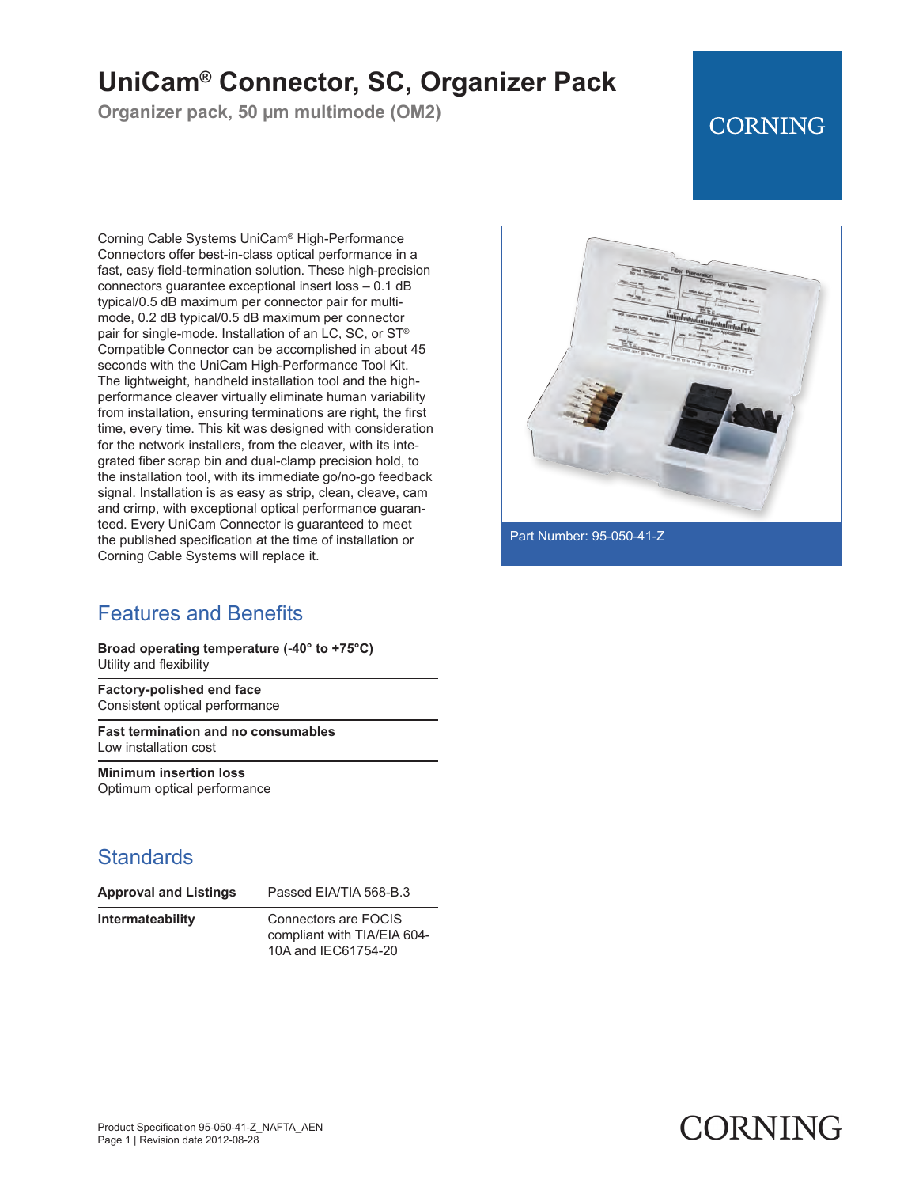## **UniCam® Connector, SC, Organizer Pack**

**Organizer pack, 50 µm multimode (OM2)**

### **CORNING**

Corning Cable Systems UniCam® High-Performance Connectors offer best-in-class optical performance in a fast, easy field-termination solution. These high-precision connectors guarantee exceptional insert loss – 0.1 dB typical/0.5 dB maximum per connector pair for multimode, 0.2 dB typical/0.5 dB maximum per connector pair for single-mode. Installation of an LC, SC, or ST® Compatible Connector can be accomplished in about 45 seconds with the UniCam High-Performance Tool Kit. The lightweight, handheld installation tool and the highperformance cleaver virtually eliminate human variability from installation, ensuring terminations are right, the first time, every time. This kit was designed with consideration for the network installers, from the cleaver, with its integrated fiber scrap bin and dual-clamp precision hold, to the installation tool, with its immediate go/no-go feedback signal. Installation is as easy as strip, clean, cleave, cam and crimp, with exceptional optical performance guaranteed. Every UniCam Connector is guaranteed to meet the published specification at the time of installation or Corning Cable Systems will replace it.

### Features and Benefits

**Broad operating temperature (-40° to +75°C)** Utility and flexibility

**Factory-polished end face** Consistent optical performance

**Fast termination and no consumables** Low installation cost

**Minimum insertion loss** Optimum optical performance

#### **Standards**

| <b>Approval and Listings</b> | Passed EIA/TIA 568-B.3 |
|------------------------------|------------------------|
|------------------------------|------------------------|

**Intermateability** Connectors are FOCIS compliant with TIA/EIA 604- 10A and IEC61754-20



Part Number: 95-050-41-Z